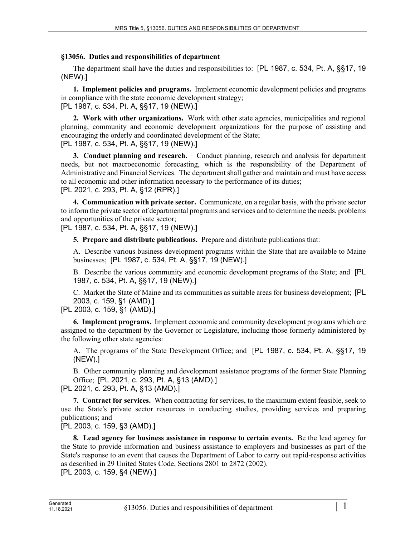## **§13056. Duties and responsibilities of department**

The department shall have the duties and responsibilities to: [PL 1987, c. 534, Pt. A, §§17, 19 (NEW).]

**1. Implement policies and programs.** Implement economic development policies and programs in compliance with the state economic development strategy; [PL 1987, c. 534, Pt. A, §§17, 19 (NEW).]

**2. Work with other organizations.** Work with other state agencies, municipalities and regional planning, community and economic development organizations for the purpose of assisting and encouraging the orderly and coordinated development of the State; [PL 1987, c. 534, Pt. A, §§17, 19 (NEW).]

**3. Conduct planning and research.** Conduct planning, research and analysis for department needs, but not macroeconomic forecasting, which is the responsibility of the Department of Administrative and Financial Services. The department shall gather and maintain and must have access to all economic and other information necessary to the performance of its duties; [PL 2021, c. 293, Pt. A, §12 (RPR).]

**4. Communication with private sector.** Communicate, on a regular basis, with the private sector to inform the private sector of departmental programs and services and to determine the needs, problems and opportunities of the private sector;

[PL 1987, c. 534, Pt. A, §§17, 19 (NEW).]

**5. Prepare and distribute publications.** Prepare and distribute publications that:

A. Describe various business development programs within the State that are available to Maine businesses; [PL 1987, c. 534, Pt. A, §§17, 19 (NEW).]

B. Describe the various community and economic development programs of the State; and [PL 1987, c. 534, Pt. A, §§17, 19 (NEW).]

C. Market the State of Maine and its communities as suitable areas for business development; [PL 2003, c. 159, §1 (AMD).]

[PL 2003, c. 159, §1 (AMD).]

**6. Implement programs.** Implement economic and community development programs which are assigned to the department by the Governor or Legislature, including those formerly administered by the following other state agencies:

A. The programs of the State Development Office; and [PL 1987, c. 534, Pt. A, §§17, 19 (NEW).]

B. Other community planning and development assistance programs of the former State Planning Office; [PL 2021, c. 293, Pt. A, §13 (AMD).]

[PL 2021, c. 293, Pt. A, §13 (AMD).]

**7. Contract for services.** When contracting for services, to the maximum extent feasible, seek to use the State's private sector resources in conducting studies, providing services and preparing publications; and

[PL 2003, c. 159, §3 (AMD).]

**8. Lead agency for business assistance in response to certain events.** Be the lead agency for the State to provide information and business assistance to employers and businesses as part of the State's response to an event that causes the Department of Labor to carry out rapid-response activities as described in 29 United States Code, Sections 2801 to 2872 (2002).

[PL 2003, c. 159, §4 (NEW).]